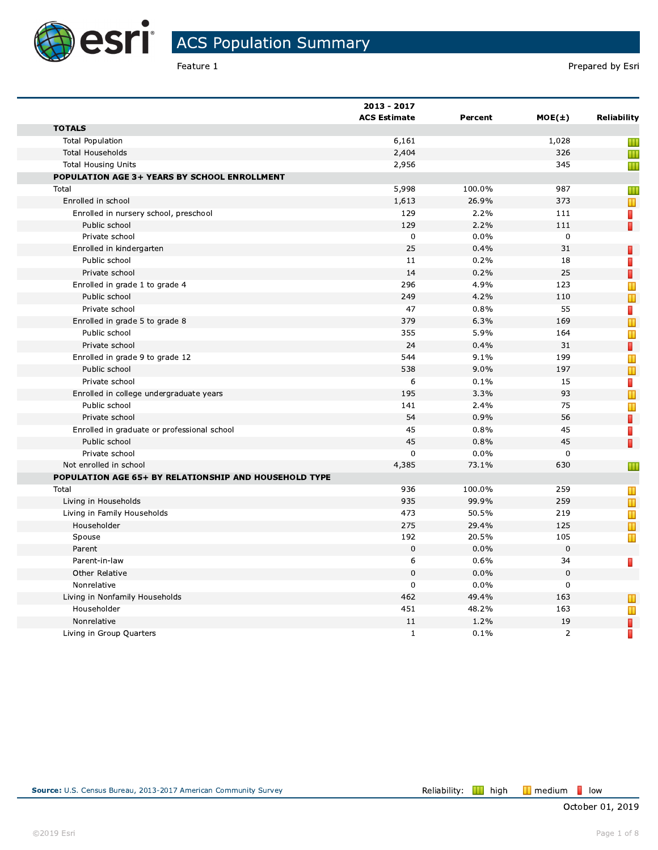

Feature 1

|                                                       | 2013 - 2017         |         |                |                                                                                     |
|-------------------------------------------------------|---------------------|---------|----------------|-------------------------------------------------------------------------------------|
|                                                       | <b>ACS Estimate</b> | Percent | $MOE(\pm)$     | <b>Reliability</b>                                                                  |
| <b>TOTALS</b>                                         |                     |         |                |                                                                                     |
| <b>Total Population</b>                               | 6,161               |         | 1,028          | Ш                                                                                   |
| <b>Total Households</b>                               | 2,404               |         | 326            | Ш                                                                                   |
| <b>Total Housing Units</b>                            | 2,956               |         | 345            | Ш                                                                                   |
| POPULATION AGE 3+ YEARS BY SCHOOL ENROLLMENT          |                     |         |                |                                                                                     |
| Total                                                 | 5,998               | 100.0%  | 987            | Ш                                                                                   |
| Enrolled in school                                    | 1,613               | 26.9%   | 373            | $\blacksquare$                                                                      |
| Enrolled in nursery school, preschool                 | 129                 | 2.2%    | 111            | Π                                                                                   |
| Public school                                         | 129                 | 2.2%    | 111            | Π                                                                                   |
| Private school                                        | $\mathbf 0$         | 0.0%    | $\mathbf 0$    |                                                                                     |
| Enrolled in kindergarten                              | 25                  | 0.4%    | 31             | П                                                                                   |
| Public school                                         | 11                  | 0.2%    | 18             | D                                                                                   |
| Private school                                        | 14                  | 0.2%    | 25             | П                                                                                   |
| Enrolled in grade 1 to grade 4                        | 296                 | 4.9%    | 123            | Т                                                                                   |
| Public school                                         | 249                 | 4.2%    | 110            |                                                                                     |
| Private school                                        | 47                  | 0.8%    | 55             | П                                                                                   |
| Enrolled in grade 5 to grade 8                        | 379                 | 6.3%    | 169            | T                                                                                   |
| Public school                                         | 355                 | 5.9%    | 164            | Т                                                                                   |
| Private school                                        | 24                  | 0.4%    | 31             | П                                                                                   |
| Enrolled in grade 9 to grade 12                       | 544                 | 9.1%    | 199            | T                                                                                   |
| Public school                                         | 538                 | 9.0%    | 197            | $\mathbb T$                                                                         |
| Private school                                        | 6                   | 0.1%    | 15             | П                                                                                   |
| Enrolled in college undergraduate years               | 195                 | 3.3%    | 93             | $\mathbf{\mathbf{\mathbf{\mathbf{\mathbf{\mathbf{\mathbf{\mathbf{\mathbf{I}}}}}}}}$ |
| Public school                                         | 141                 | 2.4%    | 75             | T                                                                                   |
| Private school                                        | 54                  | 0.9%    | 56             | П                                                                                   |
| Enrolled in graduate or professional school           | 45                  | 0.8%    | 45             | П                                                                                   |
| Public school                                         | 45                  | 0.8%    | 45             | П                                                                                   |
| Private school                                        | 0                   | 0.0%    | $\mathbf 0$    |                                                                                     |
| Not enrolled in school                                | 4,385               | 73.1%   | 630            | Ш                                                                                   |
| POPULATION AGE 65+ BY RELATIONSHIP AND HOUSEHOLD TYPE |                     |         |                |                                                                                     |
| Total                                                 | 936                 | 100.0%  | 259            | Ш                                                                                   |
| Living in Households                                  | 935                 | 99.9%   | 259            |                                                                                     |
| Living in Family Households                           | 473                 | 50.5%   | 219            | T                                                                                   |
| Householder                                           | 275                 | 29.4%   | 125            | T                                                                                   |
| Spouse                                                | 192                 | 20.5%   | 105            | Т                                                                                   |
| Parent                                                | $\mathbf 0$         | 0.0%    | 0              |                                                                                     |
| Parent-in-law                                         | 6                   | 0.6%    | 34             | T                                                                                   |
| <b>Other Relative</b>                                 | $\overline{0}$      | 0.0%    | 0              |                                                                                     |
| Nonrelative                                           | 0                   | 0.0%    | 0              |                                                                                     |
| Living in Nonfamily Households                        | 462                 | 49.4%   | 163            | $\mathbf T$                                                                         |
| Householder                                           | 451                 | 48.2%   | 163            | T                                                                                   |
| Nonrelative                                           | 11                  | 1.2%    | 19             | T                                                                                   |
| Living in Group Quarters                              | $\mathbf{1}$        | 0.1%    | $\overline{2}$ | Π                                                                                   |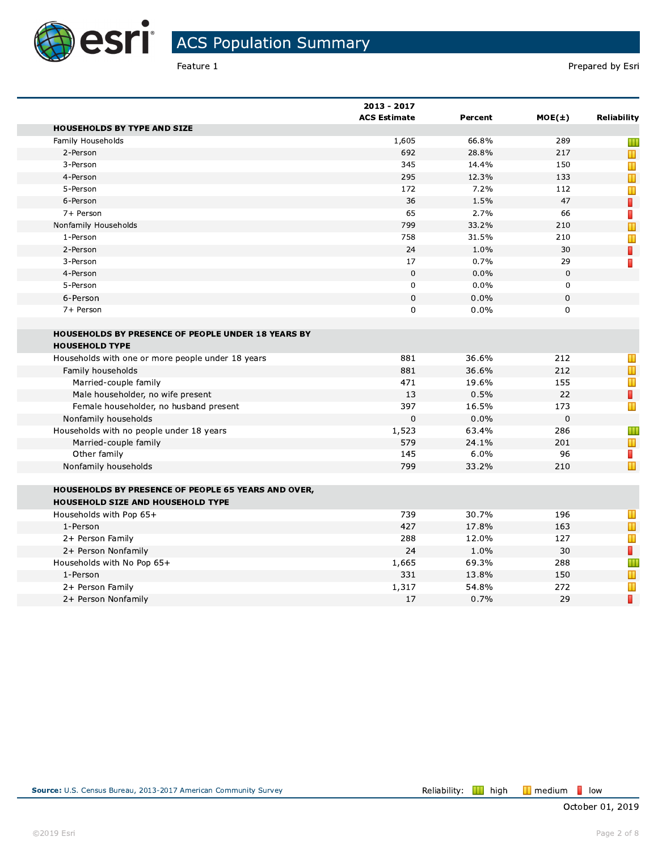

Feature 1

|                                                            | 2013 - 2017<br><b>ACS Estimate</b> | Percent | $MOE(\pm)$ | <b>Reliability</b> |
|------------------------------------------------------------|------------------------------------|---------|------------|--------------------|
| <b>HOUSEHOLDS BY TYPE AND SIZE</b>                         |                                    |         |            |                    |
| Family Households                                          | 1,605                              | 66.8%   | 289        | Ш                  |
| 2-Person                                                   | 692                                | 28.8%   | 217        |                    |
| 3-Person                                                   | 345                                | 14.4%   | 150        | T                  |
| 4-Person                                                   | 295                                | 12.3%   | 133        | $\mathbb T$        |
| 5-Person                                                   | 172                                | 7.2%    | 112        | T                  |
| 6-Person                                                   | 36                                 | 1.5%    | 47         | П                  |
| 7+ Person                                                  | 65                                 | 2.7%    | 66         | T                  |
| Nonfamily Households                                       | 799                                | 33.2%   | 210        |                    |
| 1-Person                                                   | 758                                | 31.5%   | 210        | Т                  |
| 2-Person                                                   | 24                                 | 1.0%    | 30         | П                  |
| 3-Person                                                   | 17                                 | 0.7%    | 29         | Π                  |
| 4-Person                                                   | $\Omega$                           | 0.0%    | $\Omega$   |                    |
| 5-Person                                                   | $\Omega$                           | 0.0%    | 0          |                    |
| 6-Person                                                   | 0                                  | 0.0%    | 0          |                    |
| 7+ Person                                                  | $\mathbf 0$                        | 0.0%    | 0          |                    |
|                                                            |                                    |         |            |                    |
| HOUSEHOLDS BY PRESENCE OF PEOPLE UNDER 18 YEARS BY         |                                    |         |            |                    |
| <b>HOUSEHOLD TYPE</b>                                      |                                    |         |            |                    |
| Households with one or more people under 18 years          | 881                                | 36.6%   | 212        | T                  |
| Family households                                          | 881                                | 36.6%   | 212        | $\mathbb T$        |
| Married-couple family                                      | 471                                | 19.6%   | 155        | T                  |
| Male householder, no wife present                          | 13                                 | 0.5%    | 22         | П                  |
| Female householder, no husband present                     | 397                                | 16.5%   | 173        | т                  |
| Nonfamily households                                       | 0                                  | 0.0%    | 0          |                    |
| Households with no people under 18 years                   | 1,523                              | 63.4%   | 286        | Ш                  |
| Married-couple family                                      | 579                                | 24.1%   | 201        | $\mathbb T$        |
| Other family                                               | 145                                | 6.0%    | 96         | П                  |
| Nonfamily households                                       | 799                                | 33.2%   | 210        | $\mathbb T$        |
|                                                            |                                    |         |            |                    |
| <b>HOUSEHOLDS BY PRESENCE OF PEOPLE 65 YEARS AND OVER,</b> |                                    |         |            |                    |
| HOUSEHOLD SIZE AND HOUSEHOLD TYPE                          |                                    |         |            |                    |
| Households with Pop 65+                                    | 739                                | 30.7%   | 196        | $\mathbf T$        |
| 1-Person                                                   | 427                                | 17.8%   | 163        | T                  |
| 2+ Person Family                                           | 288                                | 12.0%   | 127        | Т                  |
| 2+ Person Nonfamily                                        | 24                                 | 1.0%    | 30         | П                  |
| Households with No Pop 65+                                 | 1,665                              | 69.3%   | 288        | Ш                  |
| 1-Person                                                   | 331                                | 13.8%   | 150        | T                  |
| 2+ Person Family                                           | 1,317                              | 54.8%   | 272        | T                  |
| 2+ Person Nonfamily                                        | 17                                 | 0.7%    | 29         | П                  |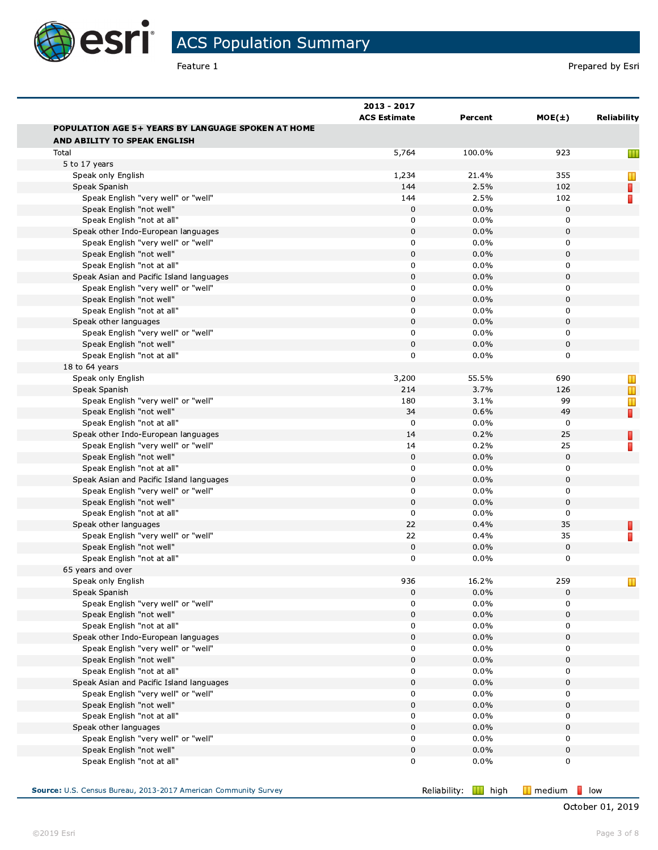

## ACS Population Summary

|                                                                                           | 2013 - 2017<br><b>ACS Estimate</b> | Percent                     | $MOE(\pm)$                                  | <b>Reliability</b> |
|-------------------------------------------------------------------------------------------|------------------------------------|-----------------------------|---------------------------------------------|--------------------|
| <b>POPULATION AGE 5+ YEARS BY LANGUAGE SPOKEN AT HOME</b><br>AND ABILITY TO SPEAK ENGLISH |                                    |                             |                                             |                    |
| Total                                                                                     | 5,764                              | 100.0%                      | 923                                         | Ш                  |
| 5 to 17 years                                                                             |                                    |                             |                                             |                    |
| Speak only English                                                                        | 1,234                              | 21.4%                       | 355                                         | Ш                  |
| Speak Spanish                                                                             | 144                                | 2.5%                        | 102                                         | П                  |
| Speak English "very well" or "well"                                                       | 144                                | 2.5%                        | 102                                         |                    |
| Speak English "not well"                                                                  | $\mathbf 0$                        | 0.0%                        | 0                                           |                    |
| Speak English "not at all"                                                                | 0                                  | 0.0%                        | 0                                           |                    |
| Speak other Indo-European languages                                                       | $\mathbf 0$                        | 0.0%                        | 0                                           |                    |
| Speak English "very well" or "well"                                                       | $\mathbf 0$                        | 0.0%                        | 0                                           |                    |
| Speak English "not well"                                                                  | $\mathsf 0$                        | 0.0%                        | $\pmb{0}$                                   |                    |
| Speak English "not at all"                                                                | 0                                  | 0.0%                        | 0                                           |                    |
| Speak Asian and Pacific Island languages                                                  | $\mathsf 0$                        | 0.0%                        | 0                                           |                    |
| Speak English "very well" or "well"                                                       | $\mathbf 0$                        | 0.0%                        | 0                                           |                    |
| Speak English "not well"                                                                  | $\mathsf 0$                        | 0.0%                        | $\mathbf 0$                                 |                    |
| Speak English "not at all"                                                                | 0                                  | 0.0%                        | 0                                           |                    |
| Speak other languages                                                                     | $\mathsf 0$                        | 0.0%                        | 0                                           |                    |
| Speak English "very well" or "well"                                                       | $\mathbf 0$                        | 0.0%                        | 0                                           |                    |
| Speak English "not well"                                                                  | $\mathbf 0$                        | 0.0%                        | $\mathsf 0$                                 |                    |
| Speak English "not at all"                                                                | $\mathbf 0$                        | 0.0%                        | 0                                           |                    |
| 18 to 64 years                                                                            |                                    |                             |                                             |                    |
| Speak only English                                                                        | 3,200                              | 55.5%                       | 690                                         | Ш                  |
| Speak Spanish                                                                             | 214                                | 3.7%                        | 126                                         | Ш                  |
| Speak English "very well" or "well"                                                       | 180                                | 3.1%                        | 99                                          |                    |
| Speak English "not well"                                                                  | 34                                 | 0.6%                        | 49                                          | п                  |
| Speak English "not at all"                                                                | $\mathbf 0$                        | 0.0%                        | 0                                           |                    |
| Speak other Indo-European languages                                                       | 14                                 | 0.2%                        | 25                                          |                    |
| Speak English "very well" or "well"                                                       | 14                                 | 0.2%                        | 25                                          |                    |
| Speak English "not well"                                                                  | $\mathsf 0$                        | 0.0%                        | 0                                           |                    |
| Speak English "not at all"                                                                | 0                                  | 0.0%                        | 0                                           |                    |
| Speak Asian and Pacific Island languages                                                  | $\mathsf 0$                        | 0.0%                        | $\mathsf 0$                                 |                    |
| Speak English "very well" or "well"                                                       | 0                                  | 0.0%                        | 0                                           |                    |
| Speak English "not well"                                                                  | $\mathsf 0$                        | 0.0%                        | 0                                           |                    |
| Speak English "not at all"                                                                | $\mathbf 0$                        | 0.0%                        | 0                                           |                    |
| Speak other languages                                                                     | 22                                 | 0.4%                        | 35                                          |                    |
| Speak English "very well" or "well"                                                       | 22                                 | 0.4%                        | 35                                          |                    |
| Speak English "not well"                                                                  | $\mathbf 0$                        | 0.0%                        | 0                                           |                    |
| Speak English "not at all"                                                                | $\mathbf 0$                        | 0.0%                        | 0                                           |                    |
| 65 years and over                                                                         |                                    |                             |                                             |                    |
| Speak only English                                                                        | 936                                | 16.2%                       | 259                                         |                    |
| Speak Spanish                                                                             | $\mathsf 0$                        | 0.0%                        | 0                                           |                    |
| Speak English "very well" or "well"                                                       | $\mathbf 0$                        | 0.0%                        | 0                                           |                    |
| Speak English "not well"                                                                  | $\mathsf 0$                        | 0.0%                        | 0                                           |                    |
| Speak English "not at all"                                                                | 0                                  | 0.0%                        | 0                                           |                    |
| Speak other Indo-European languages                                                       | $\mathsf 0$                        | 0.0%                        | 0                                           |                    |
| Speak English "very well" or "well"                                                       | 0                                  | 0.0%                        | 0                                           |                    |
| Speak English "not well"                                                                  | $\mathsf 0$                        | 0.0%                        | 0                                           |                    |
| Speak English "not at all"                                                                | 0                                  | 0.0%                        | 0                                           |                    |
| Speak Asian and Pacific Island languages                                                  | $\mathsf 0$                        | 0.0%                        | 0                                           |                    |
| Speak English "very well" or "well"                                                       | 0                                  | 0.0%                        | 0                                           |                    |
| Speak English "not well"                                                                  | $\mathsf 0$                        | 0.0%                        | 0                                           |                    |
| Speak English "not at all"                                                                | 0                                  | 0.0%                        | 0                                           |                    |
| Speak other languages                                                                     | $\mathsf 0$                        | 0.0%                        | 0                                           |                    |
| Speak English "very well" or "well"                                                       | 0                                  | 0.0%                        | 0                                           |                    |
| Speak English "not well"                                                                  | $\mathsf 0$                        | 0.0%                        | 0                                           |                    |
| Speak English "not at all"                                                                | 0                                  | 0.0%                        | 0                                           |                    |
|                                                                                           |                                    |                             |                                             |                    |
| Source: U.S. Census Bureau, 2013-2017 American Community Survey                           |                                    | Reliability: <b>II</b> high | $\blacksquare$ low<br>$\blacksquare$ medium |                    |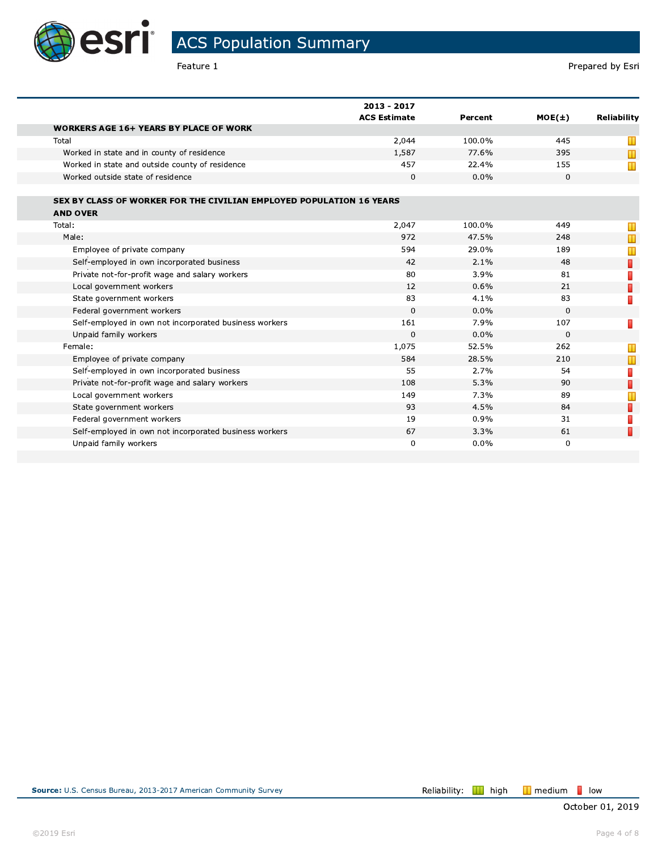

e e

**ACS Population Summary** 

Feature 1

|                                                                      | 2013 - 2017<br><b>ACS Estimate</b> |         |            |                    |
|----------------------------------------------------------------------|------------------------------------|---------|------------|--------------------|
|                                                                      |                                    | Percent | $MOE(\pm)$ | <b>Reliability</b> |
| <b>WORKERS AGE 16+ YEARS BY PLACE OF WORK</b>                        |                                    |         |            |                    |
| Total                                                                | 2,044                              | 100.0%  | 445        | Ш                  |
| Worked in state and in county of residence                           | 1,587                              | 77.6%   | 395        | $\mathbf T$        |
| Worked in state and outside county of residence                      | 457                                | 22.4%   | 155        | Т                  |
| Worked outside state of residence                                    | 0                                  | 0.0%    | 0          |                    |
|                                                                      |                                    |         |            |                    |
| SEX BY CLASS OF WORKER FOR THE CIVILIAN EMPLOYED POPULATION 16 YEARS |                                    |         |            |                    |
| <b>AND OVER</b>                                                      |                                    |         |            |                    |
| Total:                                                               | 2,047                              | 100.0%  | 449        | Т                  |
| Male:                                                                | 972                                | 47.5%   | 248        | П                  |
| Employee of private company                                          | 594                                | 29.0%   | 189        | Τ                  |
| Self-employed in own incorporated business                           | 42                                 | 2.1%    | 48         | Π                  |
| Private not-for-profit wage and salary workers                       | 80                                 | 3.9%    | 81         |                    |
| Local government workers                                             | 12                                 | 0.6%    | 21         | D                  |
| State government workers                                             | 83                                 | 4.1%    | 83         | П                  |
| Federal government workers                                           | $\Omega$                           | 0.0%    | $\Omega$   |                    |
| Self-employed in own not incorporated business workers               | 161                                | 7.9%    | 107        |                    |
| Unpaid family workers                                                | 0                                  | 0.0%    | 0          |                    |
| Female:                                                              | 1,075                              | 52.5%   | 262        | Ш                  |
| Employee of private company                                          | 584                                | 28.5%   | 210        | $\blacksquare$     |
| Self-employed in own incorporated business                           | 55                                 | 2.7%    | 54         | П                  |
| Private not-for-profit wage and salary workers                       | 108                                | 5.3%    | 90         | Π                  |
| Local government workers                                             | 149                                | 7.3%    | 89         | $\mathbb T$        |
| State government workers                                             | 93                                 | 4.5%    | 84         | П                  |
| Federal government workers                                           | 19                                 | 0.9%    | 31         |                    |
| Self-employed in own not incorporated business workers               | 67                                 | 3.3%    | 61         | Π                  |
| Unpaid family workers                                                | 0                                  | 0.0%    | 0          |                    |
|                                                                      |                                    |         |            |                    |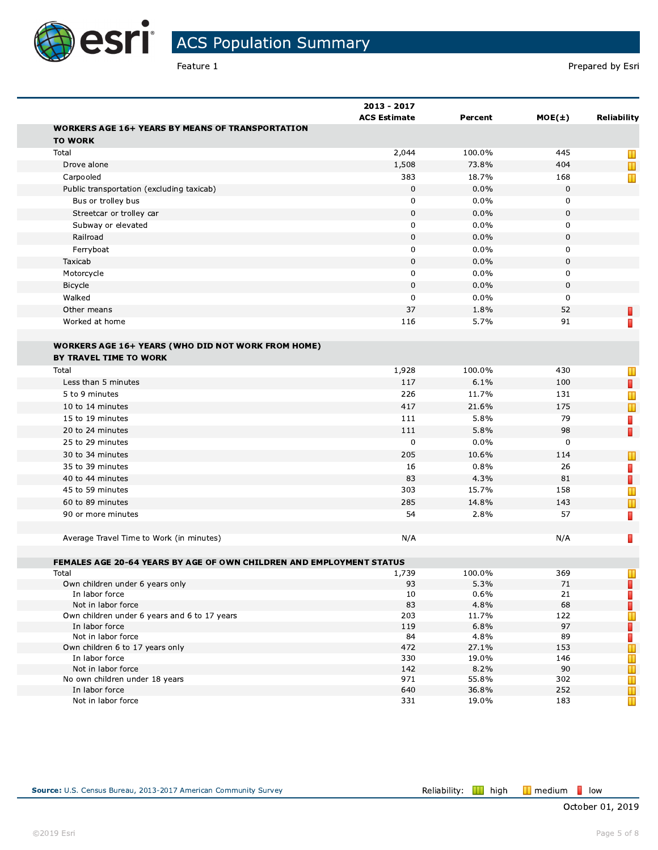

Feature 1

|                                                                             | 2013 - 2017<br><b>ACS Estimate</b> | Percent | $MOE(\pm)$  | <b>Reliability</b> |
|-----------------------------------------------------------------------------|------------------------------------|---------|-------------|--------------------|
| <b>WORKERS AGE 16+ YEARS BY MEANS OF TRANSPORTATION</b>                     |                                    |         |             |                    |
| <b>TO WORK</b>                                                              |                                    |         |             |                    |
| Total                                                                       | 2,044                              | 100.0%  | 445         | Ш                  |
| Drove alone                                                                 | 1,508                              | 73.8%   | 404         | $\mathbf T$        |
| Carpooled                                                                   | 383                                | 18.7%   | 168         | Т                  |
| Public transportation (excluding taxicab)                                   | $\pmb{0}$                          | 0.0%    | 0           |                    |
| Bus or trolley bus                                                          | $\mathbf 0$                        | 0.0%    | 0           |                    |
| Streetcar or trolley car                                                    | $\mathbf 0$                        | 0.0%    | 0           |                    |
| Subway or elevated                                                          | $\mathbf 0$                        | 0.0%    | 0           |                    |
| Railroad                                                                    | $\mathbf 0$                        | 0.0%    | 0           |                    |
| Ferryboat                                                                   | $\mathbf 0$                        | 0.0%    | 0           |                    |
| Taxicab                                                                     | $\pmb{0}$                          | 0.0%    | 0           |                    |
| Motorcycle                                                                  | $\mathbf 0$                        | 0.0%    | 0           |                    |
| Bicycle                                                                     | $\mathbf 0$                        | 0.0%    | 0           |                    |
| Walked                                                                      | $\mathbf 0$                        | 0.0%    | 0           |                    |
| Other means                                                                 | 37                                 |         | 52          |                    |
|                                                                             |                                    | 1.8%    |             | П                  |
| Worked at home                                                              | 116                                | 5.7%    | 91          | П                  |
|                                                                             |                                    |         |             |                    |
| <b>WORKERS AGE 16+ YEARS (WHO DID NOT WORK FROM HOME)</b>                   |                                    |         |             |                    |
| BY TRAVEL TIME TO WORK                                                      |                                    |         |             |                    |
| Total                                                                       | 1,928                              | 100.0%  | 430         | Т                  |
| Less than 5 minutes                                                         | 117                                | 6.1%    | 100         | П                  |
| 5 to 9 minutes                                                              | 226                                | 11.7%   | 131         | Т                  |
| 10 to 14 minutes                                                            | 417                                | 21.6%   | 175         | $\mathbb T$        |
| 15 to 19 minutes                                                            | 111                                | 5.8%    | 79          | D                  |
| 20 to 24 minutes                                                            | 111                                | 5.8%    | 98          | П                  |
| 25 to 29 minutes                                                            | $\mathbf 0$                        | 0.0%    | $\mathbf 0$ |                    |
| 30 to 34 minutes                                                            | 205                                | 10.6%   | 114         | Ш                  |
| 35 to 39 minutes                                                            | 16                                 | 0.8%    | 26          | T                  |
| 40 to 44 minutes                                                            | 83                                 | 4.3%    | 81          | D                  |
| 45 to 59 minutes                                                            | 303                                | 15.7%   | 158         | Т                  |
| 60 to 89 minutes                                                            | 285                                | 14.8%   | 143         | $\mathbb T$        |
| 90 or more minutes                                                          | 54                                 | 2.8%    | 57          | П                  |
|                                                                             |                                    |         |             |                    |
| Average Travel Time to Work (in minutes)                                    | N/A                                |         | N/A         | П                  |
|                                                                             |                                    |         |             |                    |
| <b>FEMALES AGE 20-64 YEARS BY AGE OF OWN CHILDREN AND EMPLOYMENT STATUS</b> |                                    |         |             |                    |
| Total                                                                       | 1,739                              | 100.0%  | 369         | Т                  |
| Own children under 6 years only                                             | 93                                 | 5.3%    | 71          | П                  |
| In labor force                                                              | 10                                 | 0.6%    | 21          | П                  |
| Not in labor force                                                          | 83                                 | 4.8%    | 68          | D                  |
| Own children under 6 years and 6 to 17 years                                | 203                                | 11.7%   | 122         | Ш                  |
| In labor force                                                              | 119                                | 6.8%    | 97          | П                  |
| Not in labor force                                                          | 84                                 | 4.8%    | 89          | П                  |
| Own children 6 to 17 years only                                             | 472                                | 27.1%   | 153         | T                  |
| In labor force                                                              | 330                                | 19.0%   | 146         | Т                  |
| Not in labor force                                                          | 142                                | 8.2%    | 90          | T                  |
| No own children under 18 years                                              | 971                                | 55.8%   | 302         | Т                  |
| In labor force                                                              | 640                                | 36.8%   | 252         | $\mathbb T$        |
| Not in labor force                                                          | 331                                | 19.0%   | 183         | T                  |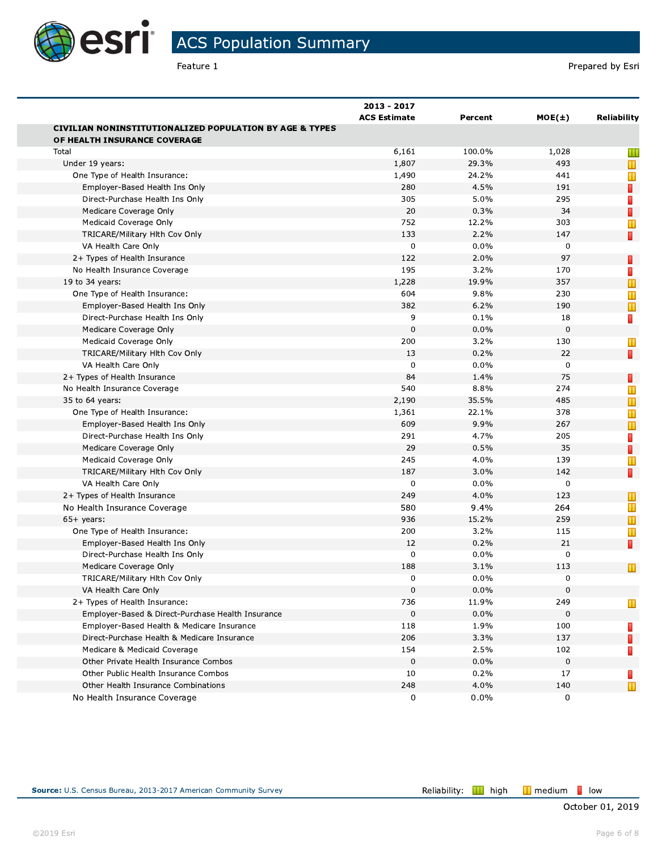

ACS Population Summary

|                                                                    |                                    |         |             | Prepared by Esri   |
|--------------------------------------------------------------------|------------------------------------|---------|-------------|--------------------|
|                                                                    | 2013 - 2017<br><b>ACS Estimate</b> | Percent | MOE(±)      | <b>Reliability</b> |
| <b>CIVILIAN NONINSTITUTIONALIZED POPULATION BY AGE &amp; TYPES</b> |                                    |         |             |                    |
| OF HEALTH INSURANCE COVERAGE                                       |                                    |         |             |                    |
| Total                                                              | 6,161                              | 100.0%  | 1,028       | Ш                  |
| Under 19 years:                                                    | 1,807                              | 29.3%   | 493         | Ш                  |
| One Type of Health Insurance:                                      | 1,490                              | 24.2%   | 441         | Т                  |
| Employer-Based Health Ins Only                                     | 280                                | 4.5%    | 191         | П                  |
| Direct-Purchase Health Ins Only                                    | 305                                | 5.0%    | 295         | П                  |
| Medicare Coverage Only                                             | 20                                 | 0.3%    | 34          | П                  |
| Medicaid Coverage Only                                             | 752                                | 12.2%   | 303         | Т                  |
| TRICARE/Military Hlth Cov Only                                     | 133                                | 2.2%    | 147         | $\blacksquare$     |
| VA Health Care Only                                                | $\mathbf 0$                        | 0.0%    | $\mathbf 0$ |                    |
| 2+ Types of Health Insurance                                       | 122                                | 2.0%    | 97          | П                  |
| No Health Insurance Coverage                                       | 195                                | 3.2%    | 170         |                    |
| 19 to 34 years:                                                    | 1,228                              | 19.9%   | 357         | $\mathbb T$        |
| One Type of Health Insurance:                                      | 604                                | 9.8%    | 230         | Т                  |
| Employer-Based Health Ins Only                                     | 382                                | 6.2%    | 190         | $\mathbb T$        |
| Direct-Purchase Health Ins Only                                    | 9                                  | 0.1%    | 18          | П                  |
| Medicare Coverage Only                                             | $\mathbf 0$                        | 0.0%    | $\mathbf 0$ |                    |
| Medicaid Coverage Only                                             | 200                                | 3.2%    | 130         | Ш                  |
| TRICARE/Military Hlth Cov Only                                     | 13                                 | 0.2%    | 22          | D                  |
| VA Health Care Only                                                | $\mathbf 0$                        | 0.0%    | $\mathbf 0$ |                    |
| 2+ Types of Health Insurance                                       | 84                                 | 1.4%    | 75          | п                  |
| No Health Insurance Coverage                                       | 540                                | 8.8%    | 274         | Т                  |
| 35 to 64 years:                                                    | 2,190                              | 35.5%   | 485         | $\mathbb T$        |
| One Type of Health Insurance:                                      | 1,361                              | 22.1%   | 378         | Т                  |
| Employer-Based Health Ins Only                                     | 609                                | 9.9%    | 267         | т                  |
| Direct-Purchase Health Ins Only                                    | 291                                | 4.7%    | 205         | П                  |
| Medicare Coverage Only                                             | 29                                 | 0.5%    | 35          | п                  |
| Medicaid Coverage Only                                             | 245                                | 4.0%    | 139         | Т                  |
| TRICARE/Military Hith Cov Only                                     | 187                                | 3.0%    | 142         | D.                 |
| VA Health Care Only                                                | $\mathbf 0$                        | $0.0\%$ | 0           |                    |
| 2+ Types of Health Insurance                                       | 249                                | 4.0%    | 123         | Ш                  |
| No Health Insurance Coverage                                       | 580                                | 9.4%    | 264         | Ш                  |
| $65+$ years:                                                       | 936                                | 15.2%   | 259         | $\mathbb T$        |
| One Type of Health Insurance:                                      | 200                                | 3.2%    | 115         | Ш                  |
| Employer-Based Health Ins Only                                     | 12                                 | 0.2%    | 21          | D.                 |
| Direct-Purchase Health Ins Only                                    | $\mathbf 0$                        | $0.0\%$ | 0           |                    |
| Medicare Coverage Only                                             | 188                                | 3.1%    | 113         | $\mathbf T$        |
| TRICARE/Military Hlth Cov Only                                     | 0                                  | $0.0\%$ | 0           |                    |
| VA Health Care Only                                                | $\mathbf 0$                        | 0.0%    | 0           |                    |
| 2+ Types of Health Insurance:                                      | 736                                | 11.9%   | 249         | Ш                  |
| Employer-Based & Direct-Purchase Health Insurance                  | $\mathbf 0$                        | $0.0\%$ | 0           |                    |
| Employer-Based Health & Medicare Insurance                         | 118                                | 1.9%    | 100         | н                  |
| Direct-Purchase Health & Medicare Insurance                        | 206                                | 3.3%    | 137         | П                  |
| Medicare & Medicaid Coverage                                       | 154                                | 2.5%    | 102         |                    |
| Other Private Health Insurance Combos                              | $\mathbf 0$                        | 0.0%    | $\mathbf 0$ |                    |
| Other Public Health Insurance Combos                               | 10                                 | 0.2%    | 17          | ш                  |
| Other Health Insurance Combinations                                | 248                                | 4.0%    | 140         | $\mathbb T$        |
| No Health Insurance Coverage                                       | 0                                  | 0.0%    | 0           |                    |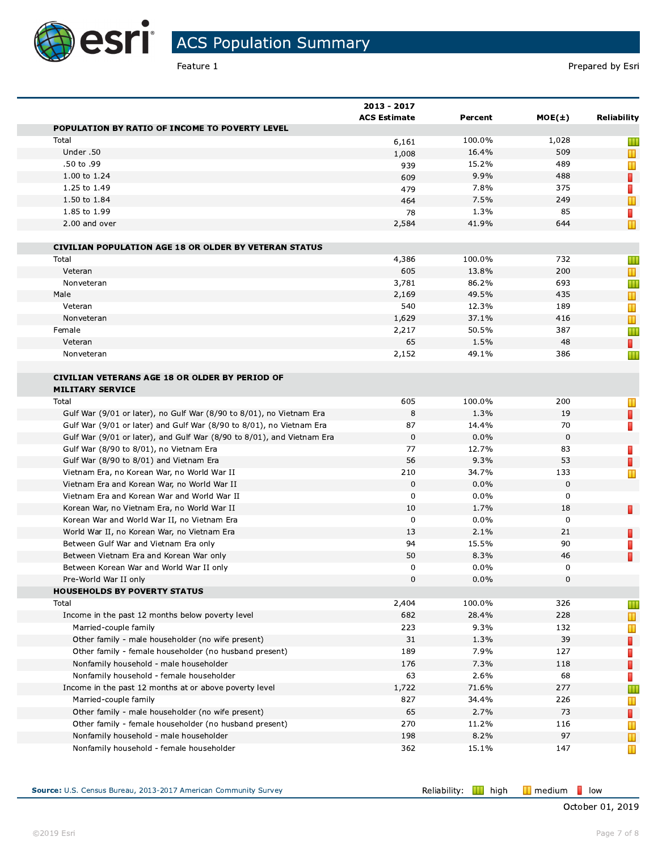

Feature 1

|                                                                        | 2013 - 2017<br><b>ACS Estimate</b> | Percent | $MOE(\pm)$  | Reliability    |
|------------------------------------------------------------------------|------------------------------------|---------|-------------|----------------|
| POPULATION BY RATIO OF INCOME TO POVERTY LEVEL                         |                                    |         |             |                |
| Total                                                                  | 6,161                              | 100.0%  | 1,028       | Ш              |
| Under .50                                                              | 1,008                              | 16.4%   | 509         | $\mathbb T$    |
| .50 to .99                                                             | 939                                | 15.2%   | 489         | $\mathbb T$    |
| 1.00 to 1.24                                                           | 609                                | 9.9%    | 488         | П              |
| 1.25 to 1.49                                                           | 479                                | 7.8%    | 375         | П              |
| 1.50 to 1.84                                                           | 464                                | 7.5%    | 249         | $\mathbb T$    |
| 1.85 to 1.99                                                           | 78                                 | 1.3%    | 85          | П              |
| 2.00 and over                                                          | 2,584                              | 41.9%   | 644         | $\mathbb T$    |
| <b>CIVILIAN POPULATION AGE 18 OR OLDER BY VETERAN STATUS</b>           |                                    |         |             |                |
| Total                                                                  | 4,386                              | 100.0%  | 732         | Ш              |
| Veteran                                                                | 605                                | 13.8%   | 200         | $\mathbb T$    |
| Nonveteran                                                             | 3,781                              | 86.2%   | 693         | Ш              |
| Male                                                                   | 2,169                              | 49.5%   | 435         | Ш              |
| Veteran                                                                | 540                                | 12.3%   | 189         | Т              |
| Nonveteran                                                             | 1,629                              | 37.1%   | 416         | $\blacksquare$ |
| Female                                                                 | 2,217                              | 50.5%   | 387         | Ш              |
| Veteran                                                                | 65                                 | 1.5%    | 48          | п              |
| Nonveteran                                                             | 2,152                              | 49.1%   | 386         | Ш              |
| <b>CIVILIAN VETERANS AGE 18 OR OLDER BY PERIOD OF</b>                  |                                    |         |             |                |
| <b>MILITARY SERVICE</b>                                                |                                    |         |             |                |
| Total                                                                  | 605                                | 100.0%  | 200         | Ш              |
| Gulf War (9/01 or later), no Gulf War (8/90 to 8/01), no Vietnam Era   | 8                                  | 1.3%    | 19          | П              |
| Gulf War (9/01 or later) and Gulf War (8/90 to 8/01), no Vietnam Era   | 87                                 | 14.4%   | 70          | П              |
| Gulf War (9/01 or later), and Gulf War (8/90 to 8/01), and Vietnam Era | 0                                  | 0.0%    | 0           |                |
| Gulf War (8/90 to 8/01), no Vietnam Era                                | 77                                 | 12.7%   | 83          | н              |
| Gulf War (8/90 to 8/01) and Vietnam Era                                | 56                                 | 9.3%    | 53          | П              |
| Vietnam Era, no Korean War, no World War II                            | 210                                | 34.7%   | 133         | Т              |
| Vietnam Era and Korean War, no World War II                            | $\mathbf 0$                        | 0.0%    | $\mathbf 0$ |                |
| Vietnam Era and Korean War and World War II                            | 0                                  | $0.0\%$ | 0           |                |
| Korean War, no Vietnam Era, no World War II                            | 10                                 | 1.7%    | 18          | П              |
| Korean War and World War II, no Vietnam Era                            | 0                                  | $0.0\%$ | $\mathbf 0$ |                |
| World War II, no Korean War, no Vietnam Era                            | 13                                 | 2.1%    | 21          | П              |
| Between Gulf War and Vietnam Era only                                  | 94                                 | 15.5%   | 90          | H              |
| Between Vietnam Era and Korean War only                                | 50                                 | 8.3%    | 46          | П              |
| Between Korean War and World War II only                               | 0                                  | $0.0\%$ | 0           |                |
| Pre-World War II only                                                  | 0                                  | 0.0%    | 0           |                |
| <b>HOUSEHOLDS BY POVERTY STATUS</b>                                    |                                    |         |             |                |
| Total                                                                  | 2,404                              | 100.0%  | 326         | Ш              |
| Income in the past 12 months below poverty level                       | 682                                | 28.4%   | 228         | $\mathbb T$    |
| Married-couple family                                                  | 223                                | 9.3%    | 132         | Ш              |
| Other family - male householder (no wife present)                      | 31                                 | 1.3%    | 39          | П              |
| Other family - female householder (no husband present)                 | 189                                | 7.9%    | 127         | П              |
| Nonfamily household - male householder                                 | 176                                | 7.3%    | 118         | П              |
| Nonfamily household - female householder                               | 63                                 | 2.6%    | 68          | П              |
| Income in the past 12 months at or above poverty level                 | 1,722                              | 71.6%   | 277         | Ш              |
| Married-couple family                                                  | 827                                | 34.4%   | 226         |                |
| Other family - male householder (no wife present)                      | 65                                 | 2.7%    | 73          | Ш              |
| Other family - female householder (no husband present)                 | 270                                | 11.2%   | 116         | П              |
|                                                                        | 198                                | 8.2%    | 97          | Ш              |
| Nonfamily household - male householder                                 |                                    |         |             | $\mathbb T$    |
| Nonfamily household - female householder                               | 362                                | 15.1%   | 147         | Ш              |